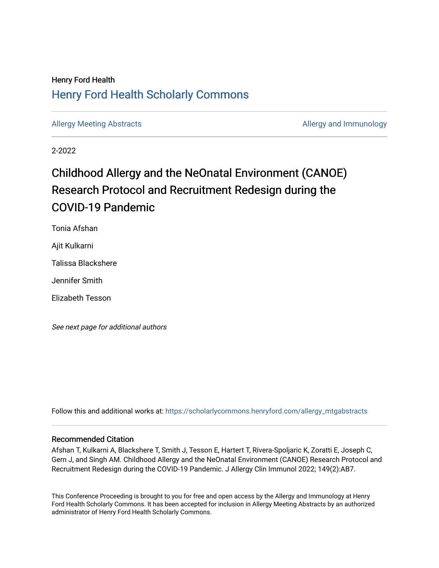## Henry Ford Health [Henry Ford Health Scholarly Commons](https://scholarlycommons.henryford.com/)

[Allergy Meeting Abstracts](https://scholarlycommons.henryford.com/allergy_mtgabstracts) **Allergy Meeting Abstracts** Allergy and Immunology

2-2022

# Childhood Allergy and the NeOnatal Environment (CANOE) Research Protocol and Recruitment Redesign during the COVID-19 Pandemic

Tonia Afshan

Ajit Kulkarni

Talissa Blackshere

Jennifer Smith

Elizabeth Tesson

See next page for additional authors

Follow this and additional works at: [https://scholarlycommons.henryford.com/allergy\\_mtgabstracts](https://scholarlycommons.henryford.com/allergy_mtgabstracts?utm_source=scholarlycommons.henryford.com%2Fallergy_mtgabstracts%2F28&utm_medium=PDF&utm_campaign=PDFCoverPages) 

### Recommended Citation

Afshan T, Kulkarni A, Blackshere T, Smith J, Tesson E, Hartert T, Rivera-Spoljaric K, Zoratti E, Joseph C, Gern J, and Singh AM. Childhood Allergy and the NeOnatal Environment (CANOE) Research Protocol and Recruitment Redesign during the COVID-19 Pandemic. J Allergy Clin Immunol 2022; 149(2):AB7.

This Conference Proceeding is brought to you for free and open access by the Allergy and Immunology at Henry Ford Health Scholarly Commons. It has been accepted for inclusion in Allergy Meeting Abstracts by an authorized administrator of Henry Ford Health Scholarly Commons.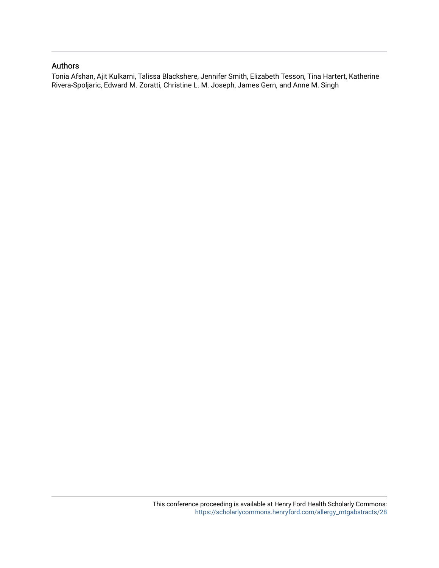### Authors

Tonia Afshan, Ajit Kulkarni, Talissa Blackshere, Jennifer Smith, Elizabeth Tesson, Tina Hartert, Katherine Rivera-Spoljaric, Edward M. Zoratti, Christine L. M. Joseph, James Gern, and Anne M. Singh